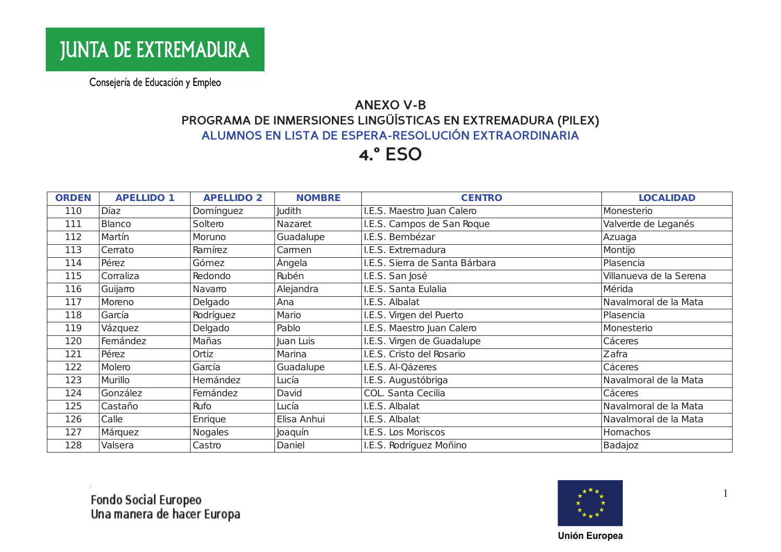#### **ANEXO V-B** PROGRAMA DE INMERSIONES LINGÜÍSTICAS EN EXTREMADURA (PILEX) ALUMNOS EN LISTA DE ESPERA-RESOLUCIÓN EXTRAORDINARIA

## **4.° ESO**

| <b>ORDEN</b> | <b>APELLIDO 1</b> | <b>APELLIDO 2</b> | <b>NOMBRE</b> | <b>CENTRO</b>                  | <b>LOCALIDAD</b>        |
|--------------|-------------------|-------------------|---------------|--------------------------------|-------------------------|
| 110          | Díaz              | Domínguez         | <b>Judith</b> | I.E.S. Maestro Juan Calero     | Monesterio              |
| 111          | Blanco            | Soltero           | Nazaret       | I.E.S. Campos de San Roque     | Valverde de Leganés     |
| 112          | Martín            | Moruno            | Guadalupe     | I.E.S. Bembézar                | Azuaga                  |
| 113          | Cerrato           | Ramírez           | Carmen        | I.E.S. Extremadura             | Montijo                 |
| 114          | Pérez             | Gómez             | Ángela        | I.E.S. Sierra de Santa Bárbara | Plasencia               |
| 115          | Corraliza         | Redondo           | Rubén         | I.E.S. San José                | Villanueva de la Serena |
| 116          | Guijamo           | Navarro           | Alejandra     | I.E.S. Santa Eulalia           | Mérida                  |
| 117          | Moreno            | Delgado           | Ana           | I.E.S. Albalat                 | Navalmoral de la Mata   |
| 118          | García            | Rodríguez         | Mario         | I.E.S. Virgen del Puerto       | Plasencia               |
| 119          | Vázquez           | Delgado           | Pablo         | I.E.S. Maestro Juan Calero     | Monesterio              |
| 120          | Femández          | Mañas             | Juan Luis     | I.E.S. Virgen de Guadalupe     | Cáceres                 |
| 121          | Pérez             | Ortiz             | Marina        | I.E.S. Cristo del Rosario      | Zafra                   |
| 122          | Molero            | García            | Guadalupe     | I.E.S. Al-Qázeres              | Cáceres                 |
| 123          | Murillo           | Hemández          | Lucía         | I.E.S. Augustóbriga            | Navalmoral de la Mata   |
| 124          | González          | Femández          | David         | COL. Santa Cecilia             | Cáceres                 |
| 125          | Castaño           | Rufo              | Lucía         | I.E.S. Albalat                 | Navalmoral de la Mata   |
| 126          | Calle             | Enrique           | Elisa Anhui   | I.E.S. Albalat                 | Navalmoral de la Mata   |
| 127          | Márquez           | <b>Nogales</b>    | Joaquín       | I.E.S. Los Moriscos            | Homachos                |
| 128          | Valsera           | Castro            | Daniel        | I.E.S. Rodríguez Moñino        | Badajoz                 |



 $\overline{1}$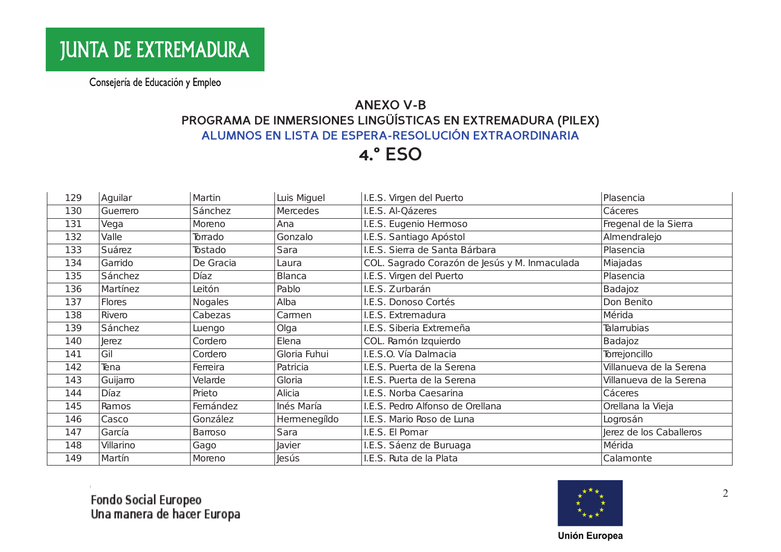#### **ANEXO V-B** PROGRAMA DE INMERSIONES LINGÜÍSTICAS EN EXTREMADURA (PILEX) ALUMNOS EN LISTA DE ESPERA-RESOLUCIÓN EXTRAORDINARIA

## **4.° ESO**

| 129 | Aquilar   | Martin         | Luis Miguel   | I.E.S. Virgen del Puerto                      | Plasencia               |
|-----|-----------|----------------|---------------|-----------------------------------------------|-------------------------|
| 130 | Guerrero  | Sánchez        | Mercedes      | I.E.S. Al-Qázeres                             | Cáceres                 |
| 131 | Vega      | Moreno         | Ana           | I.E.S. Eugenio Hermoso                        | Fregenal de la Sierra   |
| 132 | Valle     | Torrado        | Gonzalo       | I.E.S. Santiago Apóstol                       | Almendralejo            |
| 133 | Suárez    | Tostado        | Sara          | I.E.S. Sierra de Santa Bárbara                | Plasencia               |
| 134 | Garrido   | De Gracia      | Laura         | COL. Sagrado Corazón de Jesús y M. Inmaculada | Miajadas                |
| 135 | Sánchez   | Díaz           | <b>Blanca</b> | I.E.S. Virgen del Puerto                      | Plasencia               |
| 136 | Martínez  | Leitón         | Pablo         | I.E.S. Zurbarán                               | Badajoz                 |
| 137 | Flores    | <b>Nogales</b> | Alba          | I.E.S. Donoso Cortés                          | Don Benito              |
| 138 | Rivero    | Cabezas        | Carmen        | I.E.S. Extremadura                            | Mérida                  |
| 139 | Sánchez   | Luengo         | Olga          | I.E.S. Siberia Extremeña                      | Talarrubias             |
| 140 | Jerez     | Cordero        | Elena         | COL. Ramón Izquierdo                          | Badajoz                 |
| 141 | Gil       | Cordero        | Gloria Fuhui  | I.E.S.O. Vía Dalmacia                         | Torrejoncillo           |
| 142 | Tena      | Ferreira       | Patricia      | I.E.S. Puerta de la Serena                    | Villanueva de la Serena |
| 143 | Guijamo   | Velarde        | Gloria        | I.E.S. Puerta de la Serena                    | Villanueva de la Serena |
| 144 | Díaz      | Prieto         | Alicia        | I.E.S. Norba Caesarina                        | Cáceres                 |
| 145 | Ramos     | Femández       | Inés María    | I.E.S. Pedro Alfonso de Orellana              | Orellana la Vieja       |
| 146 | Casco     | González       | Hermenegíldo  | I.E.S. Mario Roso de Luna                     | Logrosán                |
| 147 | García    | Barroso        | Sara          | I.E.S. El Pomar                               | Jerez de los Caballeros |
| 148 | Villarino | Gago           | Javier        | I.E.S. Sáenz de Buruaga                       | Mérida                  |
| 149 | Martín    | Moreno         | Jesús         | I.E.S. Ruta de la Plata                       | Calamonte               |

Fondo Social Europeo<br>Una manera de hacer Europa



2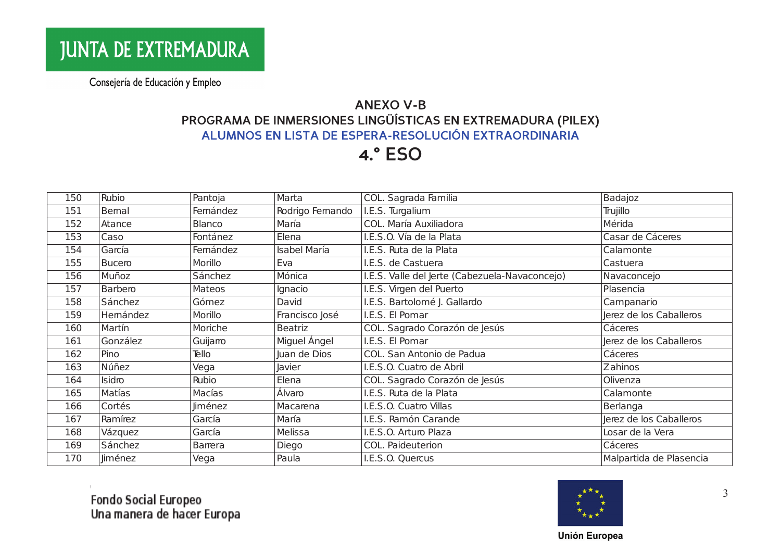#### **ANEXO V-B** PROGRAMA DE INMERSIONES LINGÜÍSTICAS EN EXTREMADURA (PILEX) ALUMNOS EN LISTA DE ESPERA-RESOLUCIÓN EXTRAORDINARIA

## **4.° ESO**

| 150 | Rubio    | Pantoja        | Marta               | COL. Sagrada Familia                           | Badajoz                 |
|-----|----------|----------------|---------------------|------------------------------------------------|-------------------------|
| 151 | Bemal    | Femández       | Rodrigo Femando     | I.E.S. Turgalium                               | Trujillo                |
| 152 | Atance   | Blanco         | María               | COL. María Auxiliadora                         | Mérida                  |
| 153 | Caso     | Fontánez       | Elena               | I.E.S.O. Vía de la Plata                       | Casar de Cáceres        |
| 154 | García   | Femández       | <b>Isabel María</b> | I.E.S. Ruta de la Plata                        | Calamonte               |
| 155 | Bucero   | Morillo        | Eva                 | I.E.S. de Castuera                             | Castuera                |
| 156 | Muñoz    | Sánchez        | Mónica              | I.E.S. Valle del Jerte (Cabezuela-Navaconcejo) | Navaconcejo             |
| 157 | Barbero  | Mateos         | Ignacio             | I.E.S. Virgen del Puerto                       | Plasencia               |
| 158 | Sánchez  | Gómez          | David               | I.E.S. Bartolomé J. Gallardo                   | Campanario              |
| 159 | Hemández | Morillo        | Francisco José      | I.E.S. El Pomar                                | Jerez de los Caballeros |
| 160 | Martín   | Moriche        | Beatriz             | COL. Sagrado Corazón de Jesús                  | Cáceres                 |
| 161 | González | Guijamo        | Miguel Ángel        | I.E.S. El Pomar                                | Jerez de los Caballeros |
| 162 | Pino     | Tello          | Juan de Dios        | COL. San Antonio de Padua                      | Cáceres                 |
| 163 | Núñez    | Vega           | <b>Javier</b>       | I.E.S.O. Cuatro de Abril                       | Zahinos                 |
| 164 | Isidro   | Rubio          | Elena               | COL. Sagrado Corazón de Jesús                  | Olivenza                |
| 165 | Matías   | Macías         | Álvaro              | I.E.S. Ruta de la Plata                        | Calamonte               |
| 166 | Cortés   | <b>Jiménez</b> | Macarena            | I.E.S.O. Cuatro Villas                         | Berlanga                |
| 167 | Ramírez  | García         | María               | I.E.S. Ramón Carande                           | Jerez de los Caballeros |
| 168 | Vázquez  | García         | Melissa             | I.E.S.O. Arturo Plaza                          | Losar de la Vera        |
| 169 | Sánchez  | Barrera        | Diego               | COL. Paideuterion                              | Cáceres                 |
| 170 | Jiménez  | Vega           | Paula               | I.E.S.O. Quercus                               | Malpartida de Plasencia |



3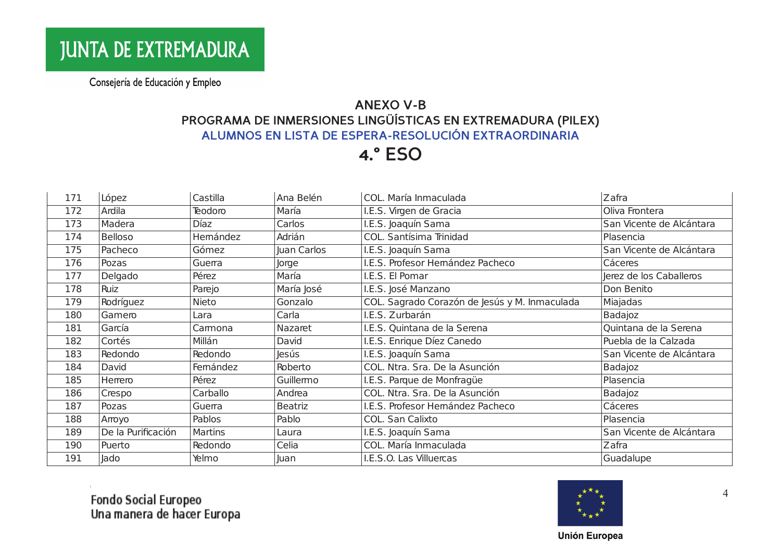#### **ANEXO V-B** PROGRAMA DE INMERSIONES LINGÜÍSTICAS EN EXTREMADURA (PILEX) ALUMNOS EN LISTA DE ESPERA-RESOLUCIÓN EXTRAORDINARIA

## **4.° ESO**

| 171 | López              | Castilla    | Ana Belén      | COL. María Inmaculada                         | Zafra                    |
|-----|--------------------|-------------|----------------|-----------------------------------------------|--------------------------|
| 172 | Ardila             | Teodoro     | María          | I.E.S. Virgen de Gracia                       | Oliva Frontera           |
| 173 | Madera             | <b>Díaz</b> | Carlos         | I.E.S. Joaquín Sama                           | San Vicente de Alcántara |
| 174 | <b>Belloso</b>     | Hemández    | Adrián         | COL. Santísima Trinidad                       | Plasencia                |
| 175 | Pacheco            | Gómez       | Juan Carlos    | I.E.S. Joaquín Sama                           | San Vicente de Alcántara |
| 176 | Pozas              | Guerra      | Jorge          | I.E.S. Profesor Hemández Pacheco              | Cáceres                  |
| 177 | Delgado            | Pérez       | María          | I.E.S. El Pomar                               | Jerez de los Caballeros  |
| 178 | Ruiz               | Parejo      | María José     | I.E.S. José Manzano                           | Don Benito               |
| 179 | Rodríguez          | Nieto       | Gonzalo        | COL. Sagrado Corazón de Jesús y M. Inmaculada | Miajadas                 |
| 180 | Gamero             | Lara        | Carla          | I.E.S. Zurbarán                               | Badajoz                  |
| 181 | García             | Camona      | Nazaret        | I.E.S. Quintana de la Serena                  | Quintana de la Serena    |
| 182 | Cortés             | Millán      | David          | I.E.S. Enrique Díez Canedo                    | Puebla de la Calzada     |
| 183 | Redondo            | Redondo     | <b>Jesús</b>   | I.E.S. Joaquín Sama                           | San Vicente de Alcántara |
| 184 | David              | Femández    | Roberto        | COL. Ntra. Sra. De la Asunción                | Badajoz                  |
| 185 | Herrero            | Pérez       | Guillermo      | I.E.S. Parque de Monfragüe                    | Plasencia                |
| 186 | Crespo             | Carballo    | Andrea         | COL. Ntra. Sra. De la Asunción                | Badajoz                  |
| 187 | Pozas              | Guerra      | <b>Beatriz</b> | I.E.S. Profesor Hemández Pacheco              | Cáceres                  |
| 188 | Arroyo             | Pablos      | Pablo          | COL. San Calixto                              | Plasencia                |
| 189 | De la Purificación | Martins     | Laura          | I.E.S. Joaquín Sama                           | San Vicente de Alcántara |
| 190 | Puerto             | Redondo     | Celia          | COL. María Inmaculada                         | Zafra                    |
| 191 | Jado               | Yelmo       | Juan           | I.E.S.O. Las Villuercas                       | Guadalupe                |

Fondo Social Europeo<br>Una manera de hacer Europa



 $\overline{4}$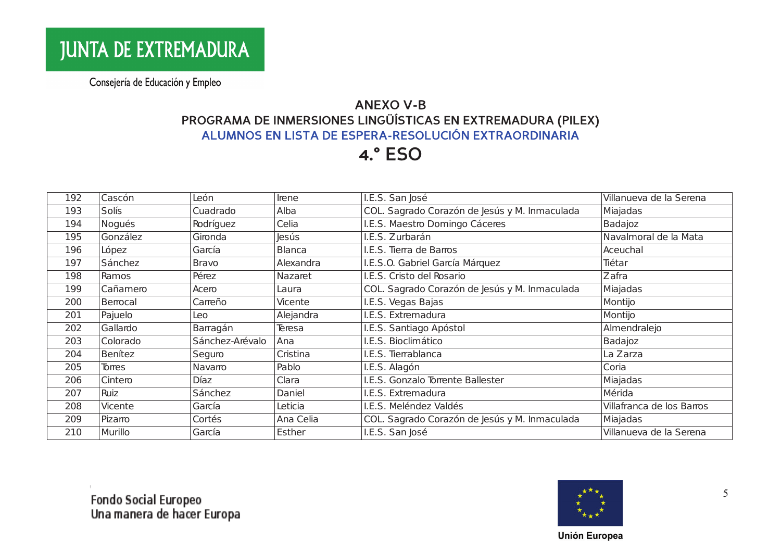#### **ANEXO V-B** PROGRAMA DE INMERSIONES LINGÜÍSTICAS EN EXTREMADURA (PILEX) ALUMNOS EN LISTA DE ESPERA-RESOLUCIÓN EXTRAORDINARIA

## **4.° ESO**

| 192 | Cascón   | León            | Irene         | I.E.S. San José                               | Villanueva de la Serena   |
|-----|----------|-----------------|---------------|-----------------------------------------------|---------------------------|
| 193 | Solís    | Cuadrado        | Alba          | COL. Sagrado Corazón de Jesús y M. Inmaculada | Miajadas                  |
| 194 | Nogués   | Rodríguez       | Celia         | I.E.S. Maestro Domingo Cáceres                | Badajoz                   |
| 195 | González | Gironda         | Jesús         | I.E.S. Zurbarán                               | Navalmoral de la Mata     |
| 196 | López    | García          | <b>Blanca</b> | I.E.S. Tierra de Barros                       | Aceuchal                  |
| 197 | Sánchez  | <b>Bravo</b>    | Alexandra     | I.E.S.O. Gabriel García Márquez               | Tiétar                    |
| 198 | Ramos    | Pérez           | Nazaret       | I.E.S. Cristo del Rosario                     | Zafra                     |
| 199 | Cañamero | Acero           | Laura         | COL. Sagrado Corazón de Jesús y M. Inmaculada | Miajadas                  |
| 200 | Berrocal | Carreño         | Vicente       | I.E.S. Vegas Bajas                            | Montijo                   |
| 201 | Pajuelo  | Leo             | Alejandra     | I.E.S. Extremadura                            | Montijo                   |
| 202 | Gallardo | Barragán        | Teresa        | I.E.S. Santiago Apóstol                       | Almendralejo              |
| 203 | Colorado | Sánchez-Arévalo | Ana           | I.E.S. Bioclimático                           | Badajoz                   |
| 204 | Benítez  | Seguro          | Cristina      | I.E.S. Tierrablanca                           | La Zarza                  |
| 205 | Torres   | Navarro         | Pablo         | I.E.S. Alagón                                 | Coria                     |
| 206 | Cintero  | Díaz            | Clara         | I.E.S. Gonzalo Torrente Ballester             | Miajadas                  |
| 207 | Ruiz     | Sánchez         | Daniel        | I.E.S. Extremadura                            | Mérida                    |
| 208 | Vicente  | García          | Leticia       | I.E.S. Meléndez Valdés                        | Villafranca de los Barros |
| 209 | Pizarro  | Cortés          | Ana Celia     | COL. Sagrado Corazón de Jesús y M. Inmaculada | Miajadas                  |
| 210 | Murillo  | García          | Esther        | I.E.S. San José                               | Villanueva de la Serena   |



5